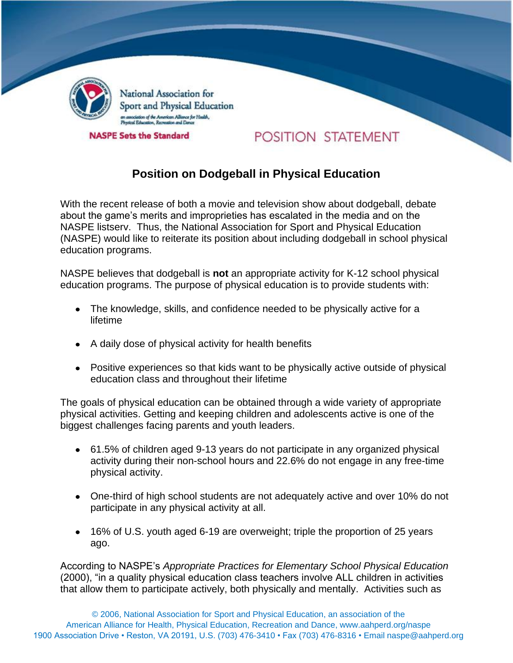

National Association for Sport and Physical Education .<br>istion of the American Alliance for Health.,<br>Education, Recreation and Dance

**NASPE Sets the Standard** 

## POSITION STATEMENT

## **Position on Dodgeball in Physical Education**

With the recent release of both a movie and television show about dodgeball, debate about the game's merits and improprieties has escalated in the media and on the NASPE listserv. Thus, the National Association for Sport and Physical Education (NASPE) would like to reiterate its position about including dodgeball in school physical education programs.

NASPE believes that dodgeball is **not** an appropriate activity for K-12 school physical education programs. The purpose of physical education is to provide students with:

- The knowledge, skills, and confidence needed to be physically active for a lifetime
- A daily dose of physical activity for health benefits
- Positive experiences so that kids want to be physically active outside of physical education class and throughout their lifetime

The goals of physical education can be obtained through a wide variety of appropriate physical activities. Getting and keeping children and adolescents active is one of the biggest challenges facing parents and youth leaders.

- 61.5% of children aged 9-13 years do not participate in any organized physical activity during their non-school hours and 22.6% do not engage in any free-time physical activity.
- One-third of high school students are not adequately active and over 10% do not participate in any physical activity at all.
- 16% of U.S. youth aged 6-19 are overweight; triple the proportion of 25 years ago.

According to NASPE's *Appropriate Practices for Elementary School Physical Education* (2000), "in a quality physical education class teachers involve ALL children in activities that allow them to participate actively, both physically and mentally. Activities such as